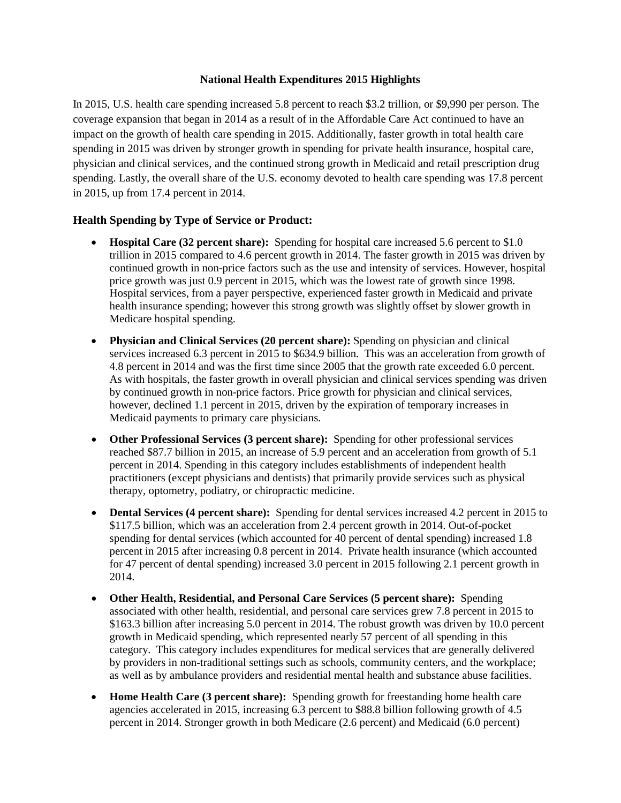## **National Health Expenditures 2015 Highlights**

In 2015, U.S. health care spending increased 5.8 percent to reach \$3.2 trillion, or \$9,990 per person. The coverage expansion that began in 2014 as a result of in the Affordable Care Act continued to have an impact on the growth of health care spending in 2015. Additionally, faster growth in total health care spending in 2015 was driven by stronger growth in spending for private health insurance, hospital care, physician and clinical services, and the continued strong growth in Medicaid and retail prescription drug spending. Lastly, the overall share of the U.S. economy devoted to health care spending was 17.8 percent in 2015, up from 17.4 percent in 2014.

## **Health Spending by Type of Service or Product:**

- **Hospital Care (32 percent share):** Spending for hospital care increased 5.6 percent to \$1.0 trillion in 2015 compared to 4.6 percent growth in 2014. The faster growth in 2015 was driven by continued growth in non-price factors such as the use and intensity of services. However, hospital price growth was just 0.9 percent in 2015, which was the lowest rate of growth since 1998. Hospital services, from a payer perspective, experienced faster growth in Medicaid and private health insurance spending; however this strong growth was slightly offset by slower growth in Medicare hospital spending.
- **Physician and Clinical Services (20 percent share):** Spending on physician and clinical services increased 6.3 percent in 2015 to \$634.9 billion. This was an acceleration from growth of 4.8 percent in 2014 and was the first time since 2005 that the growth rate exceeded 6.0 percent. As with hospitals, the faster growth in overall physician and clinical services spending was driven by continued growth in non-price factors. Price growth for physician and clinical services, however, declined 1.1 percent in 2015, driven by the expiration of temporary increases in Medicaid payments to primary care physicians.
- **Other Professional Services (3 percent share):** Spending for other professional services reached \$87.7 billion in 2015, an increase of 5.9 percent and an acceleration from growth of 5.1 percent in 2014. Spending in this category includes establishments of independent health practitioners (except physicians and dentists) that primarily provide services such as physical therapy, optometry, podiatry, or chiropractic medicine.
- **Dental Services (4 percent share):** Spending for dental services increased 4.2 percent in 2015 to \$117.5 billion, which was an acceleration from 2.4 percent growth in 2014. Out-of-pocket spending for dental services (which accounted for 40 percent of dental spending) increased 1.8 percent in 2015 after increasing 0.8 percent in 2014. Private health insurance (which accounted for 47 percent of dental spending) increased 3.0 percent in 2015 following 2.1 percent growth in 2014.
- **Other Health, Residential, and Personal Care Services (5 percent share):** Spending associated with other health, residential, and personal care services grew 7.8 percent in 2015 to \$163.3 billion after increasing 5.0 percent in 2014. The robust growth was driven by 10.0 percent growth in Medicaid spending, which represented nearly 57 percent of all spending in this category. This category includes expenditures for medical services that are generally delivered by providers in non-traditional settings such as schools, community centers, and the workplace; as well as by ambulance providers and residential mental health and substance abuse facilities.
- **Home Health Care (3 percent share):** Spending growth for freestanding home health care agencies accelerated in 2015, increasing 6.3 percent to \$88.8 billion following growth of 4.5 percent in 2014. Stronger growth in both Medicare (2.6 percent) and Medicaid (6.0 percent)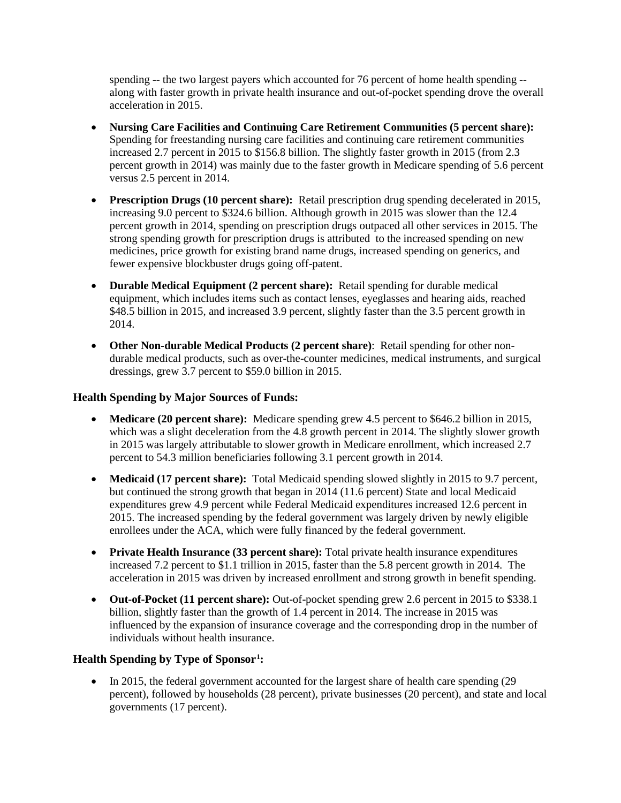spending -- the two largest payers which accounted for 76 percent of home health spending - along with faster growth in private health insurance and out-of-pocket spending drove the overall acceleration in 2015.

- **Nursing Care Facilities and Continuing Care Retirement Communities (5 percent share):**  Spending for freestanding nursing care facilities and continuing care retirement communities increased 2.7 percent in 2015 to \$156.8 billion. The slightly faster growth in 2015 (from 2.3 percent growth in 2014) was mainly due to the faster growth in Medicare spending of 5.6 percent versus 2.5 percent in 2014.
- **Prescription Drugs (10 percent share):** Retail prescription drug spending decelerated in 2015, increasing 9.0 percent to \$324.6 billion. Although growth in 2015 was slower than the 12.4 percent growth in 2014, spending on prescription drugs outpaced all other services in 2015. The strong spending growth for prescription drugs is attributed to the increased spending on new medicines, price growth for existing brand name drugs, increased spending on generics, and fewer expensive blockbuster drugs going off-patent.
- **Durable Medical Equipment (2 percent share):** Retail spending for durable medical equipment, which includes items such as contact lenses, eyeglasses and hearing aids, reached \$48.5 billion in 2015, and increased 3.9 percent, slightly faster than the 3.5 percent growth in 2014.
- **Other Non-durable Medical Products (2 percent share)**: Retail spending for other nondurable medical products, such as over-the-counter medicines, medical instruments, and surgical dressings, grew 3.7 percent to \$59.0 billion in 2015.

## **Health Spending by Major Sources of Funds:**

- **Medicare (20 percent share):** Medicare spending grew 4.5 percent to \$646.2 billion in 2015, which was a slight deceleration from the 4.8 growth percent in 2014. The slightly slower growth in 2015 was largely attributable to slower growth in Medicare enrollment, which increased 2.7 percent to 54.3 million beneficiaries following 3.1 percent growth in 2014.
- **Medicaid (17 percent share):** Total Medicaid spending slowed slightly in 2015 to 9.7 percent, but continued the strong growth that began in 2014 (11.6 percent) State and local Medicaid expenditures grew 4.9 percent while Federal Medicaid expenditures increased 12.6 percent in 2015. The increased spending by the federal government was largely driven by newly eligible enrollees under the ACA, which were fully financed by the federal government.
- **Private Health Insurance (33 percent share):** Total private health insurance expenditures increased 7.2 percent to \$1.1 trillion in 2015, faster than the 5.8 percent growth in 2014. The acceleration in 2015 was driven by increased enrollment and strong growth in benefit spending.
- **Out-of-Pocket (11 percent share):** Out-of-pocket spending grew 2.6 percent in 2015 to \$338.1 billion, slightly faster than the growth of 1.4 percent in 2014. The increase in 2015 was influenced by the expansion of insurance coverage and the corresponding drop in the number of individuals without health insurance.

## **Health Spending by Type of Sponsor[1](#page-2-0) :**

• In 2015, the federal government accounted for the largest share of health care spending (29) percent), followed by households (28 percent), private businesses (20 percent), and state and local governments (17 percent).